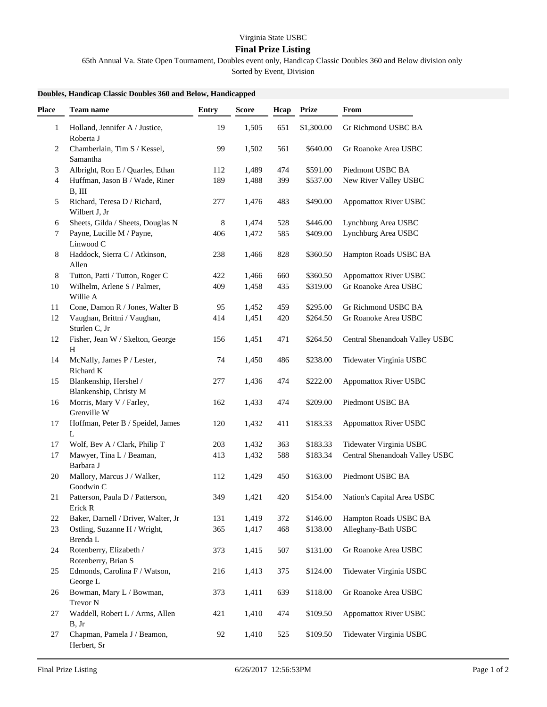## Virginia State USBC

## **Final Prize Listing**

65th Annual Va. State Open Tournament, Doubles event only, Handicap Classic Doubles 360 and Below division only

Sorted by Event, Division

## **Doubles, Handicap Classic Doubles 360 and Below, Handicapped**

| Place | <b>Team name</b>                                 | <b>Entry</b> | <b>Score</b> | Hcap | <b>Prize</b> | From                           |
|-------|--------------------------------------------------|--------------|--------------|------|--------------|--------------------------------|
| 1     | Holland, Jennifer A / Justice,<br>Roberta J      | 19           | 1,505        | 651  | \$1,300.00   | Gr Richmond USBC BA            |
| 2     | Chamberlain, Tim S / Kessel,<br>Samantha         | 99           | 1,502        | 561  | \$640.00     | Gr Roanoke Area USBC           |
| 3     | Albright, Ron E / Quarles, Ethan                 | 112          | 1,489        | 474  | \$591.00     | Piedmont USBC BA               |
| 4     | Huffman, Jason B / Wade, Riner<br>B, III         | 189          | 1,488        | 399  | \$537.00     | New River Valley USBC          |
| 5     | Richard, Teresa D / Richard,<br>Wilbert J, Jr    | 277          | 1,476        | 483  | \$490.00     | Appomattox River USBC          |
| 6     | Sheets, Gilda / Sheets, Douglas N                | 8            | 1,474        | 528  | \$446.00     | Lynchburg Area USBC            |
| 7     | Payne, Lucille M / Payne,<br>Linwood C           | 406          | 1,472        | 585  | \$409.00     | Lynchburg Area USBC            |
| 8     | Haddock, Sierra C / Atkinson,<br>Allen           | 238          | 1,466        | 828  | \$360.50     | Hampton Roads USBC BA          |
| 8     | Tutton, Patti / Tutton, Roger C                  | 422          | 1,466        | 660  | \$360.50     | <b>Appomattox River USBC</b>   |
| 10    | Wilhelm, Arlene S / Palmer,<br>Willie A          | 409          | 1,458        | 435  | \$319.00     | Gr Roanoke Area USBC           |
| 11    | Cone, Damon R / Jones, Walter B                  | 95           | 1,452        | 459  | \$295.00     | Gr Richmond USBC BA            |
| 12    | Vaughan, Brittni / Vaughan,<br>Sturlen C, Jr     | 414          | 1,451        | 420  | \$264.50     | Gr Roanoke Area USBC           |
| 12    | Fisher, Jean W / Skelton, George<br>H            | 156          | 1,451        | 471  | \$264.50     | Central Shenandoah Valley USBC |
| 14    | McNally, James P / Lester,<br>Richard K          | 74           | 1,450        | 486  | \$238.00     | Tidewater Virginia USBC        |
| 15    | Blankenship, Hershel /<br>Blankenship, Christy M | 277          | 1,436        | 474  | \$222.00     | <b>Appomattox River USBC</b>   |
| 16    | Morris, Mary V / Farley,<br>Grenville W          | 162          | 1,433        | 474  | \$209.00     | Piedmont USBC BA               |
| 17    | Hoffman, Peter B / Speidel, James<br>L           | 120          | 1,432        | 411  | \$183.33     | Appomattox River USBC          |
| 17    | Wolf, Bev A / Clark, Philip T                    | 203          | 1,432        | 363  | \$183.33     | Tidewater Virginia USBC        |
| 17    | Mawyer, Tina L / Beaman,<br>Barbara J            | 413          | 1,432        | 588  | \$183.34     | Central Shenandoah Valley USBC |
| 20    | Mallory, Marcus J / Walker,<br>Goodwin C         | 112          | 1,429        | 450  | \$163.00     | Piedmont USBC BA               |
| 21    | Patterson, Paula D / Patterson,<br>Erick R       | 349          | 1,421        | 420  | \$154.00     | Nation's Capital Area USBC     |
| 22    | Baker, Darnell / Driver, Walter, Jr              | 131          | 1,419        | 372  | \$146.00     | Hampton Roads USBC BA          |
| 23    | Ostling, Suzanne H / Wright,<br>Brenda L         | 365          | 1,417        | 468  | \$138.00     | Alleghany-Bath USBC            |
| 24    | Rotenberry, Elizabeth /<br>Rotenberry, Brian S   | 373          | 1,415        | 507  | \$131.00     | Gr Roanoke Area USBC           |
| 25    | Edmonds, Carolina F / Watson,<br>George L        | 216          | 1,413        | 375  | \$124.00     | Tidewater Virginia USBC        |
| 26    | Bowman, Mary L / Bowman,<br>Trevor N             | 373          | 1,411        | 639  | \$118.00     | Gr Roanoke Area USBC           |
| 27    | Waddell, Robert L / Arms, Allen<br>B, Jr         | 421          | 1,410        | 474  | \$109.50     | <b>Appomattox River USBC</b>   |
| 27    | Chapman, Pamela J / Beamon,<br>Herbert, Sr       | 92           | 1,410        | 525  | \$109.50     | Tidewater Virginia USBC        |